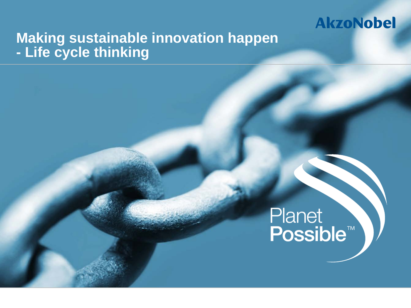## **Making sustainable innovation happen - Life cycle thinking**

# Planet<br>Possible<sup>™</sup>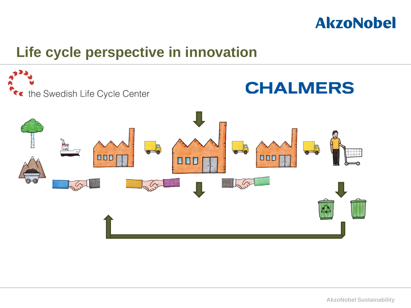

#### **Life cycle perspective in innovation**

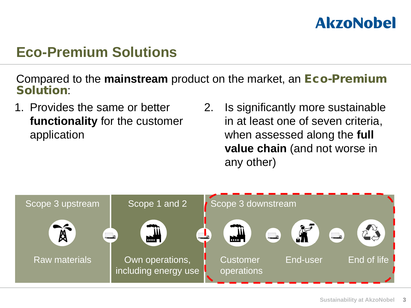#### **Eco-Premium Solutions**

Compared to the **mainstream** product on the market, an Eco-Premium Solution:

- 1. Provides the same or better **functionality** for the customer application
- 2. Is significantly more sustainable in at least one of seven criteria, when assessed along the **full value chain** (and not worse in any other)

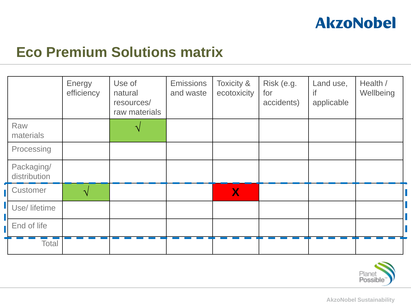

#### **Eco Premium Solutions matrix**

|                            | Energy<br>efficiency | Use of<br>natural<br>resources/<br>raw materials | <b>Emissions</b><br>and waste | <b>Toxicity &amp;</b><br>ecotoxicity | Risk (e.g.<br>for<br>accidents) | Land use,<br>if<br>applicable | Health /<br>Wellbeing |  |
|----------------------------|----------------------|--------------------------------------------------|-------------------------------|--------------------------------------|---------------------------------|-------------------------------|-----------------------|--|
| Raw<br>materials           |                      |                                                  |                               |                                      |                                 |                               |                       |  |
| Processing                 |                      |                                                  |                               |                                      |                                 |                               |                       |  |
| Packaging/<br>distribution |                      |                                                  |                               |                                      |                                 |                               |                       |  |
| Customer                   |                      |                                                  |                               | $\bm{X}$                             |                                 |                               |                       |  |
| Use/ lifetime              |                      |                                                  |                               |                                      |                                 |                               |                       |  |
| End of life                |                      |                                                  |                               |                                      |                                 |                               |                       |  |
| <b>Total</b>               |                      |                                                  |                               |                                      |                                 |                               |                       |  |

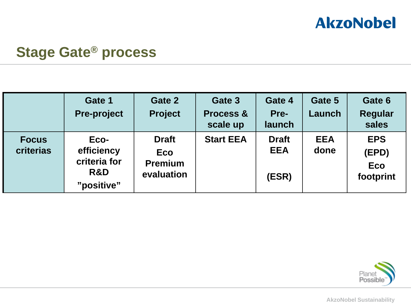

#### **Stage Gate® process**

|                           | Gate 1<br><b>Pre-project</b>                            | Gate 2<br><b>Project</b>                                   | Gate 3<br><b>Process &amp;</b><br>scale up | Gate 4<br>Pre-<br>launch            | Gate 5<br><b>Launch</b> | Gate 6<br><b>Regular</b><br>sales              |
|---------------------------|---------------------------------------------------------|------------------------------------------------------------|--------------------------------------------|-------------------------------------|-------------------------|------------------------------------------------|
| <b>Focus</b><br>criterias | Eco-<br>efficiency<br>criteria for<br>R&D<br>"positive" | <b>Draft</b><br><b>Eco</b><br><b>Premium</b><br>evaluation | <b>Start EEA</b>                           | <b>Draft</b><br><b>EEA</b><br>(ESR) | <b>EEA</b><br>done      | <b>EPS</b><br>(EPD)<br><b>Eco</b><br>footprint |

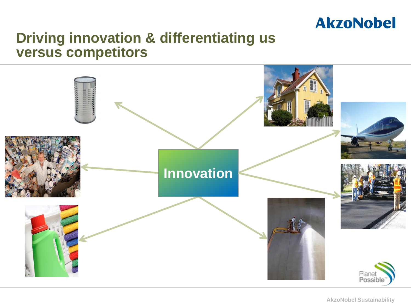

#### **Driving innovation & differentiating us versus competitors**

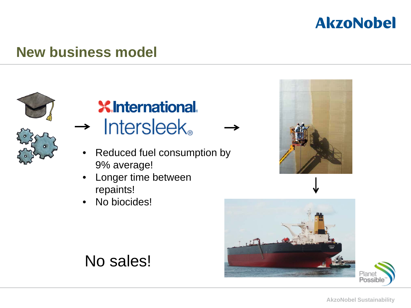

#### **New business model**



#### **XInternational**  $\rightarrow$  Intersleek.

- Reduced fuel consumption by 9% average!
- Longer time between repaints!
- No biocides!







No sales!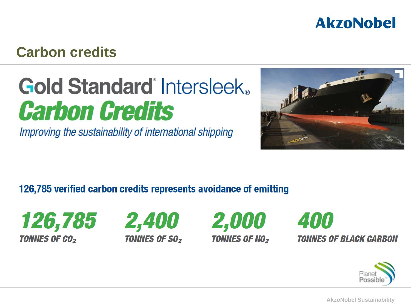#### **Carbon credits**

### **Gold Standard Intersleek Carbon Credits**

Improving the sustainability of international shipping



#### 126,785 verified carbon credits represents avoidance of emitting









**TONNES OF BLACK CARBON** 

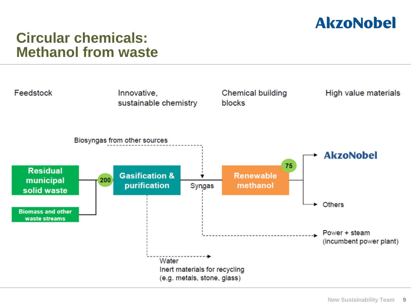

#### **Circular chemicals: Methanol from waste**